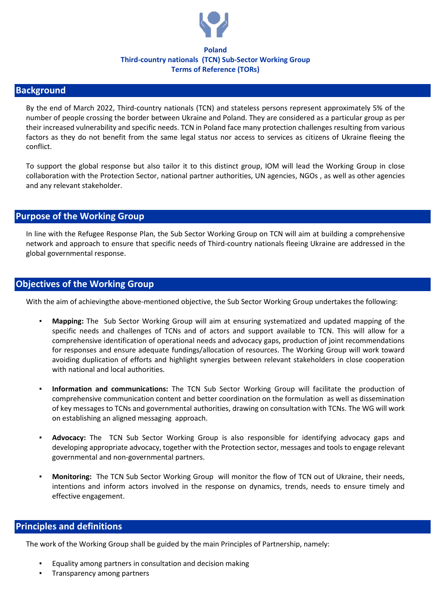

#### **Poland Third-country nationals (TCN) Sub-Sector Working Group Terms of Reference (TORs)**

### **Background**

By the end of March 2022, Third-country nationals (TCN) and stateless persons represent approximately 5% of the number of people crossing the border between Ukraine and Poland. They are considered as a particular group as per their increased vulnerability and specific needs. TCN in Poland face many protection challenges resulting from various factors as they do not benefit from the same legal status nor access to services as citizens of Ukraine fleeing the conflict.

To support the global response but also tailor it to this distinct group, IOM will lead the Working Group in close collaboration with the Protection Sector, national partner authorities, UN agencies, NGOs , as well as other agencies and any relevant stakeholder.

## **Purpose of the Working Group**

In line with the Refugee Response Plan, the Sub Sector Working Group on TCN will aim at building a comprehensive network and approach to ensure that specific needs of Third-country nationals fleeing Ukraine are addressed in the global governmental response.

# **Objectives of the Working Group**

With the aim of achievingthe above-mentioned objective, the Sub Sector Working Group undertakes the following:

- Mapping: The Sub Sector Working Group will aim at ensuring systematized and updated mapping of the specific needs and challenges of TCNs and of actors and support available to TCN. This will allow for a comprehensive identification of operational needs and advocacy gaps, production of joint recommendations for responses and ensure adequate fundings/allocation of resources. The Working Group will work toward avoiding duplication of efforts and highlight synergies between relevant stakeholders in close cooperation with national and local authorities.
- Information and communications: The TCN Sub Sector Working Group will facilitate the production of comprehensive communication content and better coordination on the formulation as well as dissemination of key messages to TCNs and governmental authorities, drawing on consultation with TCNs. The WG will work on establishing an aligned messaging approach.
- **Advocacy:** The TCN Sub Sector Working Group is also responsible for identifying advocacy gaps and developing appropriate advocacy, together with the Protection sector, messages and tools to engage relevant governmental and non-governmental partners.
- **Monitoring:** The TCN Sub Sector Working Group will monitor the flow of TCN out of Ukraine, their needs, intentions and inform actors involved in the response on dynamics, trends, needs to ensure timely and effective engagement.

# **Principles and definitions**

The work of the Working Group shall be guided by the main Principles of Partnership, namely:

- Equality among partners in consultation and decision making
- Transparency among partners